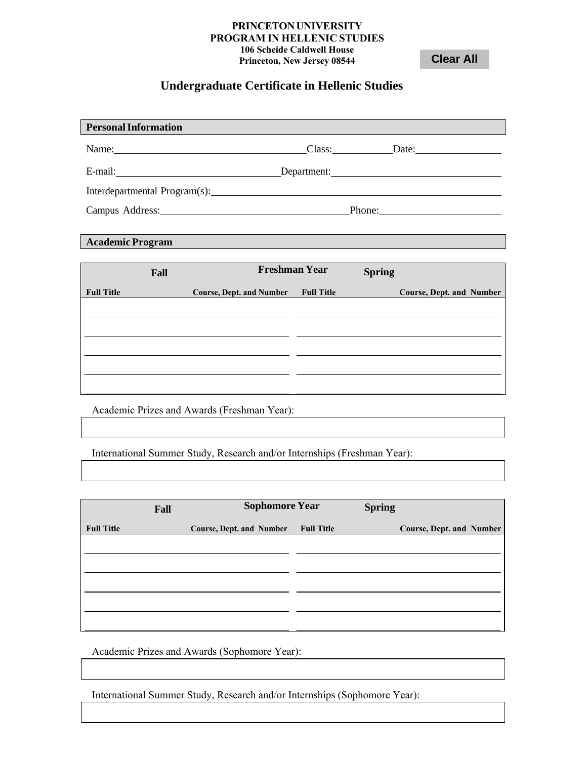## **PRINCETONUNIVERSITY PROGRAM IN HELLENIC STUDIES 106 Scheide Caldwell House Princeton, New Jersey 08544**

**Clear All** 

## **Undergraduate Certificate in Hellenic Studies**

| <b>Personal Information</b>   |             |        |  |
|-------------------------------|-------------|--------|--|
| Name:                         | Class:      | Date:  |  |
| E-mail:                       | Department: |        |  |
| Interdepartmental Program(s): |             |        |  |
| Campus Address:               |             | Phone: |  |

## **Academic Program**

|                   | Fall | <b>Freshman Year</b>            |                   | <b>Spring</b> |                                 |  |
|-------------------|------|---------------------------------|-------------------|---------------|---------------------------------|--|
| <b>Full Title</b> |      | <b>Course, Dept. and Number</b> | <b>Full Title</b> |               | <b>Course, Dept. and Number</b> |  |
|                   |      |                                 |                   |               |                                 |  |
|                   |      |                                 |                   |               |                                 |  |
|                   |      |                                 |                   |               |                                 |  |
|                   |      |                                 |                   |               |                                 |  |
|                   |      |                                 |                   |               |                                 |  |
|                   |      |                                 |                   |               |                                 |  |

Academic Prizes and Awards (Freshman Year):

International Summer Study, Research and/or Internships (Freshman Year):

|                   | Fall |                          | <b>Sophomore Year</b> |  | <b>Spring</b>                   |
|-------------------|------|--------------------------|-----------------------|--|---------------------------------|
| <b>Full Title</b> |      | Course, Dept. and Number | <b>Full Title</b>     |  | <b>Course, Dept. and Number</b> |
|                   |      |                          |                       |  |                                 |
|                   |      |                          |                       |  |                                 |
|                   |      |                          |                       |  |                                 |
|                   |      |                          |                       |  |                                 |
|                   |      |                          |                       |  |                                 |
|                   |      |                          |                       |  |                                 |

Academic Prizes and Awards (Sophomore Year):

International Summer Study, Research and/or Internships (Sophomore Year):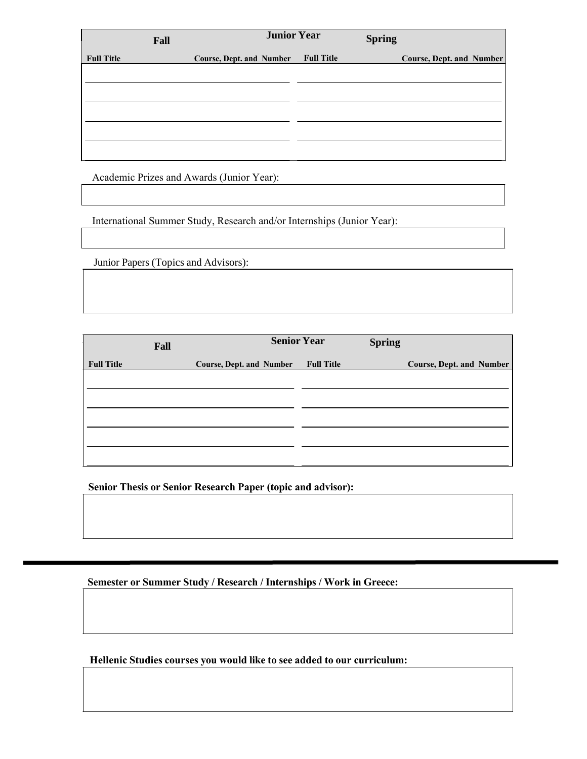|                   | Fall |                                 | <b>Junior Year</b> | <b>Spring</b> |                                 |  |
|-------------------|------|---------------------------------|--------------------|---------------|---------------------------------|--|
| <b>Full Title</b> |      | <b>Course, Dept. and Number</b> | <b>Full Title</b>  |               | <b>Course, Dept. and Number</b> |  |
|                   |      |                                 |                    |               |                                 |  |
|                   |      |                                 |                    |               |                                 |  |
|                   |      |                                 |                    |               |                                 |  |
|                   |      |                                 |                    |               |                                 |  |
|                   |      |                                 |                    |               |                                 |  |
|                   |      |                                 |                    |               |                                 |  |

Academic Prizes and Awards (Junior Year):

International Summer Study, Research and/or Internships (Junior Year):

Junior Papers (Topics and Advisors):

|                   | Fall |                                 | <b>Senior Year</b> | <b>Spring</b> |                          |
|-------------------|------|---------------------------------|--------------------|---------------|--------------------------|
| <b>Full Title</b> |      | <b>Course, Dept. and Number</b> | <b>Full Title</b>  |               | Course, Dept. and Number |
|                   |      |                                 |                    |               |                          |
|                   |      |                                 |                    |               |                          |
|                   |      |                                 |                    |               |                          |
|                   |      |                                 |                    |               |                          |
|                   |      |                                 |                    |               |                          |
|                   |      |                                 |                    |               |                          |

**Senior Thesis or Senior Research Paper (topic and advisor):**

**Semester or Summer Study / Research / Internships / Work in Greece:**

**Hellenic Studies courses you would like to see added to our curriculum:**